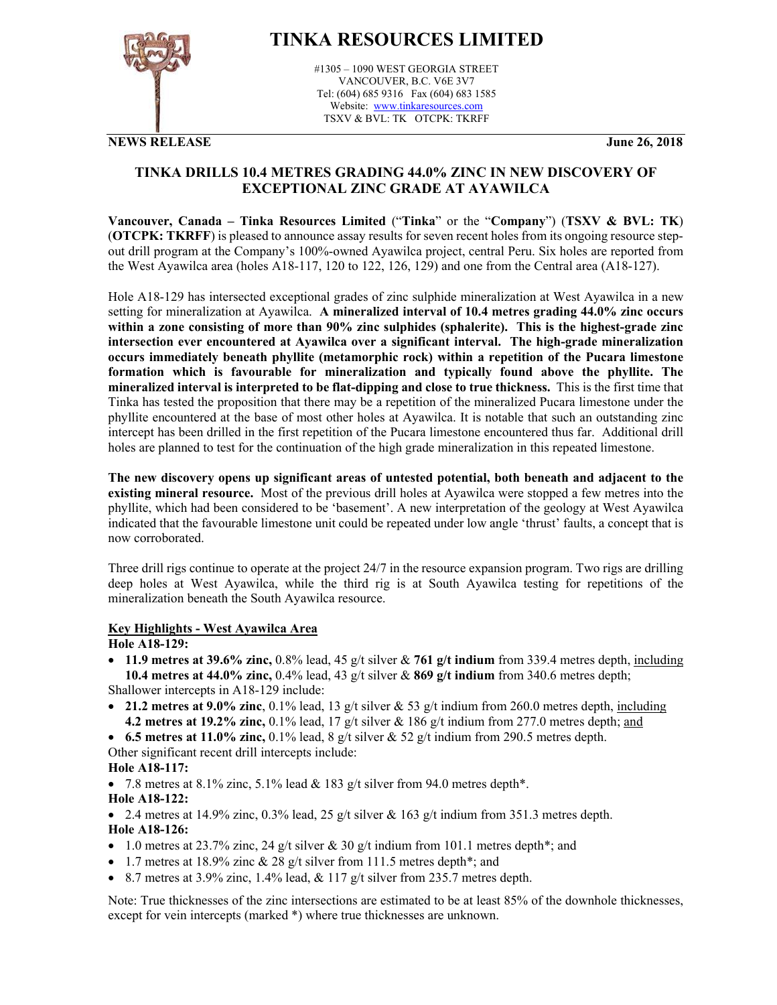

# **TINKA RESOURCES LIMITED**

#1305 – 1090 WEST GEORGIA STREET VANCOUVER, B.C. V6E 3V7 Tel: (604) 685 9316 Fax (604) 683 1585 Website: www.tinkaresources.com TSXV & BVL: TK OTCPK: TKRFF

**NEWS RELEASE June 26, 2018**

# **TINKA DRILLS 10.4 METRES GRADING 44.0% ZINC IN NEW DISCOVERY OF EXCEPTIONAL ZINC GRADE AT AYAWILCA**

**Vancouver, Canada – Tinka Resources Limited** ("**Tinka**" or the "**Company**") (**TSXV & BVL: TK**) (**OTCPK: TKRFF**) is pleased to announce assay results for seven recent holes from its ongoing resource stepout drill program at the Company's 100%-owned Ayawilca project, central Peru. Six holes are reported from the West Ayawilca area (holes A18-117, 120 to 122, 126, 129) and one from the Central area (A18-127).

Hole A18-129 has intersected exceptional grades of zinc sulphide mineralization at West Ayawilca in a new setting for mineralization at Ayawilca. **A mineralized interval of 10.4 metres grading 44.0% zinc occurs within a zone consisting of more than 90% zinc sulphides (sphalerite). This is the highest-grade zinc intersection ever encountered at Ayawilca over a significant interval. The high-grade mineralization occurs immediately beneath phyllite (metamorphic rock) within a repetition of the Pucara limestone formation which is favourable for mineralization and typically found above the phyllite. The mineralized interval is interpreted to be flat-dipping and close to true thickness.**This is the first time that Tinka has tested the proposition that there may be a repetition of the mineralized Pucara limestone under the phyllite encountered at the base of most other holes at Ayawilca. It is notable that such an outstanding zinc intercept has been drilled in the first repetition of the Pucara limestone encountered thus far. Additional drill holes are planned to test for the continuation of the high grade mineralization in this repeated limestone.

**The new discovery opens up significant areas of untested potential, both beneath and adjacent to the existing mineral resource.** Most of the previous drill holes at Ayawilca were stopped a few metres into the phyllite, which had been considered to be 'basement'. A new interpretation of the geology at West Ayawilca indicated that the favourable limestone unit could be repeated under low angle 'thrust' faults, a concept that is now corroborated.

Three drill rigs continue to operate at the project 24/7 in the resource expansion program. Two rigs are drilling deep holes at West Ayawilca, while the third rig is at South Ayawilca testing for repetitions of the mineralization beneath the South Ayawilca resource.

## **Key Highlights - West Ayawilca Area**

## **Hole A18-129:**

 **11.9 metres at 39.6% zinc,** 0.8% lead, 45 g/t silver & **761 g/t indium** from 339.4 metres depth, including **10.4 metres at 44.0% zinc,** 0.4% lead, 43 g/t silver & **869 g/t indium** from 340.6 metres depth;

Shallower intercepts in A18-129 include:

- **21.2 metres at 9.0% zinc**, 0.1% lead, 13 g/t silver & 53 g/t indium from 260.0 metres depth, including **4.2 metres at 19.2% zinc,** 0.1% lead, 17 g/t silver & 186 g/t indium from 277.0 metres depth; and
- **6.5 metres at 11.0% zinc,** 0.1% lead, 8  $g/t$  silver & 52  $g/t$  indium from 290.5 metres depth.

Other significant recent drill intercepts include:

**Hole A18-117:** 

• 7.8 metres at 8.1% zinc, 5.1% lead  $& 183$  g/t silver from 94.0 metres depth\*.

**Hole A18-122:** 

• 2.4 metres at 14.9% zinc, 0.3% lead, 25 g/t silver & 163 g/t indium from 351.3 metres depth. **Hole A18-126:** 

- 1.0 metres at 23.7% zinc, 24 g/t silver & 30 g/t indium from 101.1 metres depth<sup>\*</sup>; and
- 1.7 metres at 18.9% zinc  $& 28$  g/t silver from 111.5 metres depth\*; and
- $\bullet$  8.7 metres at 3.9% zinc, 1.4% lead, & 117 g/t silver from 235.7 metres depth.

Note: True thicknesses of the zinc intersections are estimated to be at least 85% of the downhole thicknesses, except for vein intercepts (marked \*) where true thicknesses are unknown.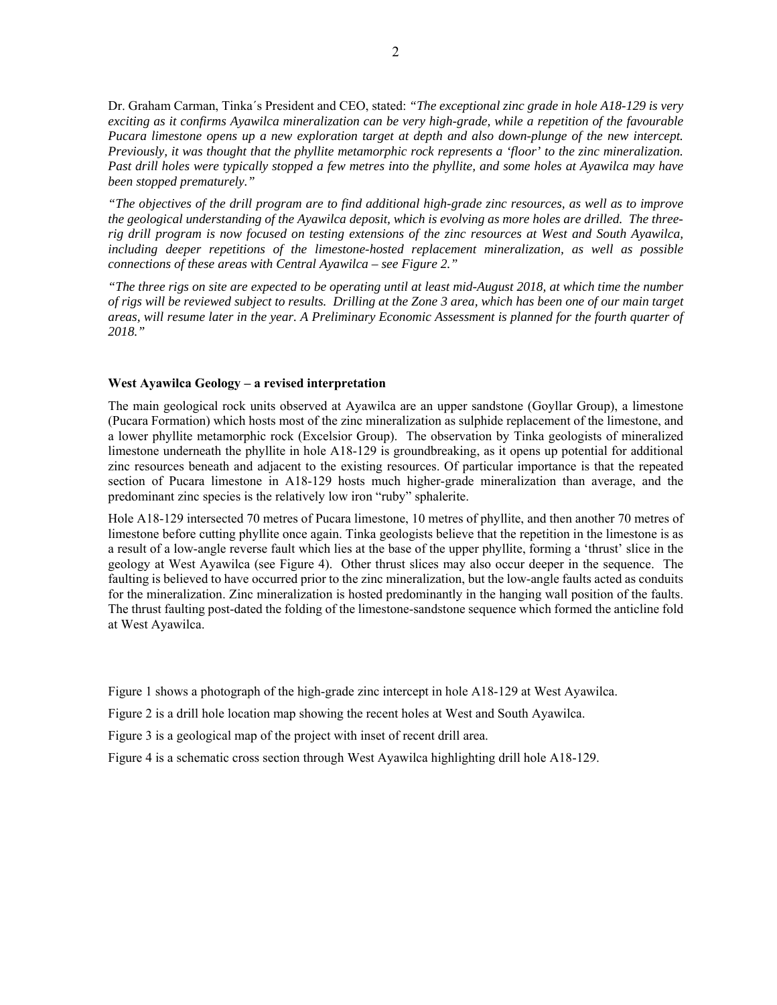Dr. Graham Carman, Tinka´s President and CEO, stated: *"The exceptional zinc grade in hole A18-129 is very exciting as it confirms Ayawilca mineralization can be very high-grade, while a repetition of the favourable Pucara limestone opens up a new exploration target at depth and also down-plunge of the new intercept. Previously, it was thought that the phyllite metamorphic rock represents a 'floor' to the zinc mineralization. Past drill holes were typically stopped a few metres into the phyllite, and some holes at Ayawilca may have been stopped prematurely."* 

*"The objectives of the drill program are to find additional high-grade zinc resources, as well as to improve the geological understanding of the Ayawilca deposit, which is evolving as more holes are drilled. The threerig drill program is now focused on testing extensions of the zinc resources at West and South Ayawilca, including deeper repetitions of the limestone-hosted replacement mineralization, as well as possible connections of these areas with Central Ayawilca – see Figure 2."* 

*"The three rigs on site are expected to be operating until at least mid-August 2018, at which time the number of rigs will be reviewed subject to results. Drilling at the Zone 3 area, which has been one of our main target areas, will resume later in the year. A Preliminary Economic Assessment is planned for the fourth quarter of 2018."* 

## **West Ayawilca Geology – a revised interpretation**

The main geological rock units observed at Ayawilca are an upper sandstone (Goyllar Group), a limestone (Pucara Formation) which hosts most of the zinc mineralization as sulphide replacement of the limestone, and a lower phyllite metamorphic rock (Excelsior Group). The observation by Tinka geologists of mineralized limestone underneath the phyllite in hole A18-129 is groundbreaking, as it opens up potential for additional zinc resources beneath and adjacent to the existing resources. Of particular importance is that the repeated section of Pucara limestone in A18-129 hosts much higher-grade mineralization than average, and the predominant zinc species is the relatively low iron "ruby" sphalerite.

Hole A18-129 intersected 70 metres of Pucara limestone, 10 metres of phyllite, and then another 70 metres of limestone before cutting phyllite once again. Tinka geologists believe that the repetition in the limestone is as a result of a low-angle reverse fault which lies at the base of the upper phyllite, forming a 'thrust' slice in the geology at West Ayawilca (see Figure 4). Other thrust slices may also occur deeper in the sequence. The faulting is believed to have occurred prior to the zinc mineralization, but the low-angle faults acted as conduits for the mineralization. Zinc mineralization is hosted predominantly in the hanging wall position of the faults. The thrust faulting post-dated the folding of the limestone-sandstone sequence which formed the anticline fold at West Ayawilca.

Figure 1 shows a photograph of the high-grade zinc intercept in hole A18-129 at West Ayawilca.

Figure 2 is a drill hole location map showing the recent holes at West and South Ayawilca.

Figure 3 is a geological map of the project with inset of recent drill area.

Figure 4 is a schematic cross section through West Ayawilca highlighting drill hole A18-129.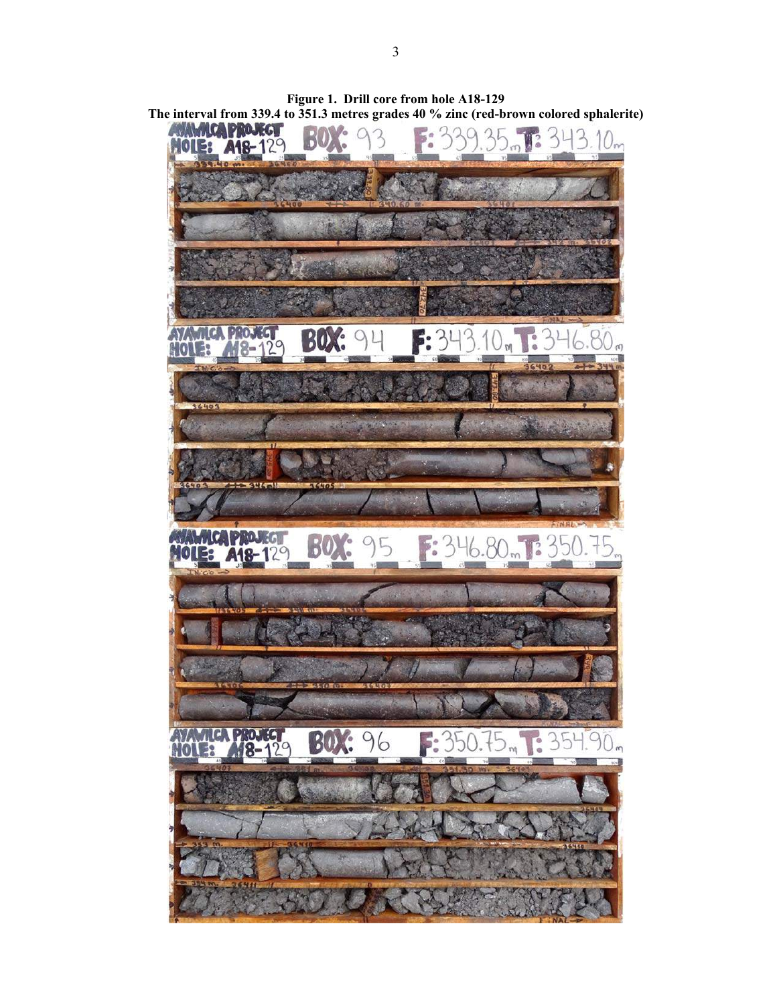

**Figure 1. Drill core from hole A18-129 The interval from 339.4 to 351.3 metres grades 40 % zinc (red-brown colored sphalerite)**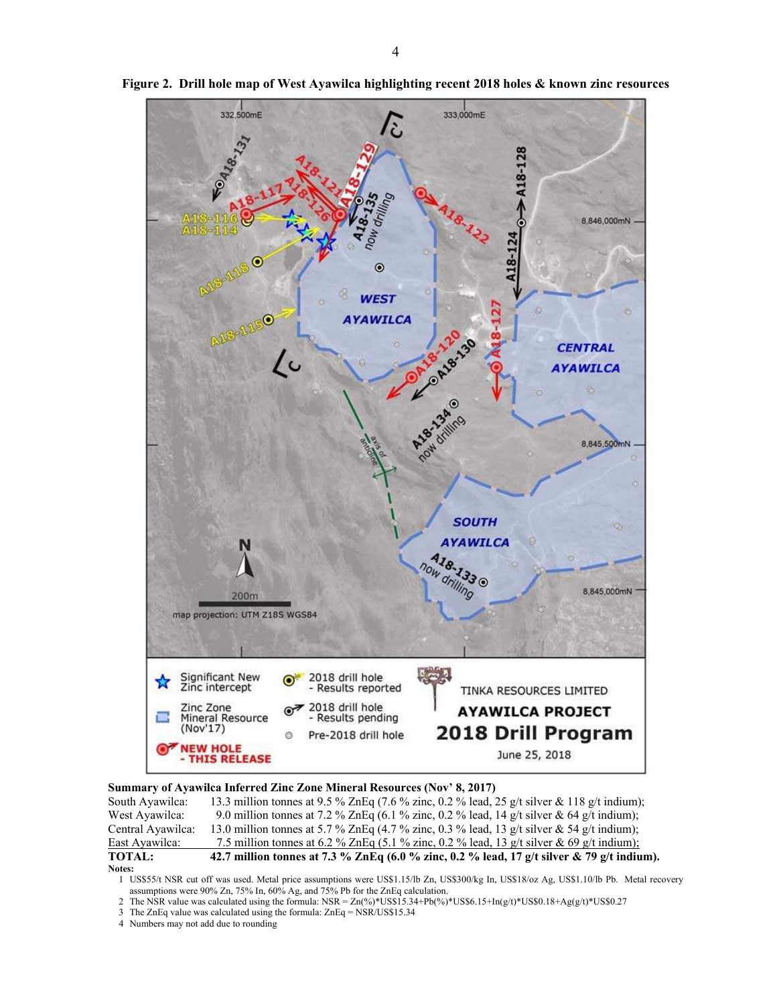

**Figure 2. Drill hole map of West Ayawilca highlighting recent 2018 holes & known zinc resources** 

## **Summary of Ayawilca Inferred Zinc Zone Mineral Resources (Nov' 8, 2017)**

| South Ayawilca:   | 13.3 million tonnes at 9.5 % ZnEq (7.6 % zinc, 0.2 % lead, 25 g/t silver & 118 g/t indium): |
|-------------------|---------------------------------------------------------------------------------------------|
| West Ayawilca:    | 9.0 million tonnes at 7.2 % ZnEq (6.1 % zinc, 0.2 % lead, 14 g/t silver & 64 g/t indium);   |
| Central Ayawilca: | 13.0 million tonnes at 5.7 % ZnEq (4.7 % zinc, 0.3 % lead, 13 g/t silver & 54 g/t indium);  |
| East Ayawilca:    | 7.5 million tonnes at 6.2 % ZnEq (5.1 % zinc, 0.2 % lead, 13 g/t silver & 69 g/t indium);   |
| <b>TOTAL:</b>     | 42.7 million tonnes at 7.3 % ZnEq (6.0 % zinc, 0.2 % lead, 17 g/t silver & 79 g/t indium).  |
| <b>Notes:</b>     |                                                                                             |

1 US\$55/t NSR cut off was used. Metal price assumptions were US\$1.15/lb Zn, US\$300/kg In, US\$18/oz Ag, US\$1.10/lb Pb. Metal recovery assumptions were 90% Zn, 75% In, 60% Ag, and 75% Pb for the ZnEq calculation.

- 2 The NSR value was calculated using the formula: NSR =  $Zn(\frac{9}{8} * US\$ 5.34+Pb(%)\*US\$6.15+In(g/t)\*US\$0.18+Ag(g/t)\*US\$0.27
- 3 The ZnEq value was calculated using the formula: ZnEq = NSR/US\$15.34
- 4 Numbers may not add due to rounding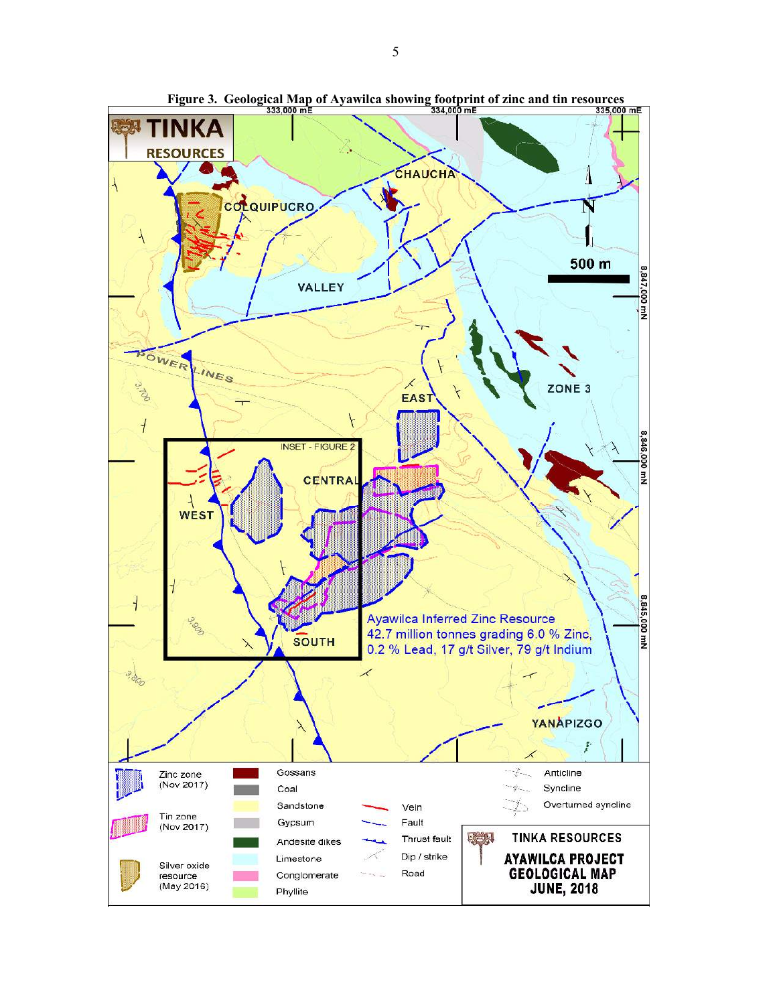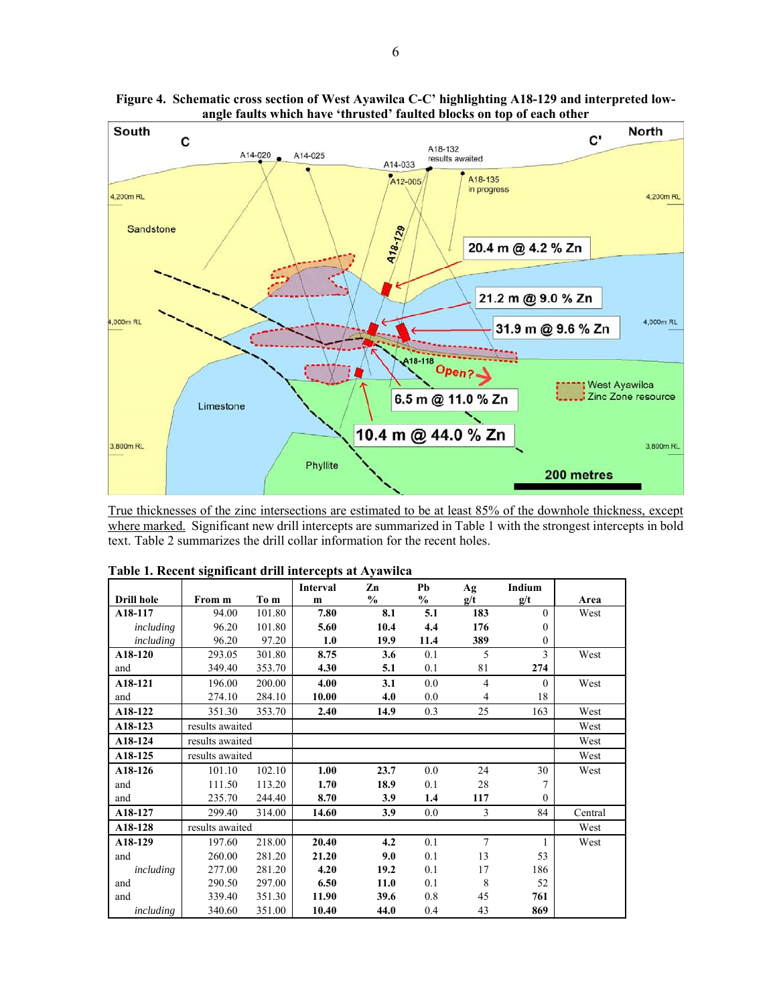

**Figure 4. Schematic cross section of West Ayawilca C-C' highlighting A18-129 and interpreted lowangle faults which have 'thrusted' faulted blocks on top of each other** 

True thicknesses of the zinc intersections are estimated to be at least 85% of the downhole thickness, except where marked. Significant new drill intercepts are summarized in Table 1 with the strongest intercepts in bold text. Table 2 summarizes the drill collar information for the recent holes.

|                   |                 |        | <b>Interval</b> | Zn            | Pb            | Ag             | Indium   |         |
|-------------------|-----------------|--------|-----------------|---------------|---------------|----------------|----------|---------|
| <b>Drill hole</b> | From m          | To m   | m               | $\frac{0}{0}$ | $\frac{0}{0}$ | g/t            | g/t      | Area    |
| A18-117           | 94.00           | 101.80 | 7.80            | 8.1           | 5.1           | 183            | $\Omega$ | West    |
| including         | 96.20           | 101.80 | 5.60            | 10.4          | 4.4           | 176            | $\Omega$ |         |
| including         | 96.20           | 97.20  | 1.0             | 19.9          | 11.4          | 389            | $\theta$ |         |
| A18-120           | 293.05          | 301.80 | 8.75            | 3.6           | 0.1           | 5              | 3        | West    |
| and               | 349.40          | 353.70 | 4.30            | 5.1           | 0.1           | 81             | 274      |         |
| A18-121           | 196.00          | 200.00 | 4.00            | 3.1           | 0.0           | 4              | $\theta$ | West    |
| and               | 274.10          | 284.10 | 10.00           | 4.0           | 0.0           | 4              | 18       |         |
| A18-122           | 351.30          | 353.70 | 2.40            | 14.9          | 0.3           | 25             | 163      | West    |
| A18-123           | results awaited |        |                 |               |               |                |          | West    |
| A18-124           | results awaited |        |                 |               |               |                |          | West    |
| A18-125           | results awaited |        |                 |               |               |                |          | West    |
| A18-126           | 101.10          | 102.10 | 1.00            | 23.7          | 0.0           | 24             | 30       | West    |
| and               | 111.50          | 113.20 | 1.70            | 18.9          | 0.1           | 28             | 7        |         |
| and               | 235.70          | 244.40 | 8.70            | 3.9           | 1.4           | 117            | $\theta$ |         |
| A18-127           | 299.40          | 314.00 | 14.60           | 3.9           | 0.0           | 3              | 84       | Central |
| A18-128           | results awaited |        |                 |               |               |                |          | West    |
| A18-129           | 197.60          | 218.00 | 20.40           | 4.2           | 0.1           | $\overline{7}$ |          | West    |
| and               | 260.00          | 281.20 | 21.20           | 9.0           | 0.1           | 13             | 53       |         |
| including         | 277.00          | 281.20 | 4.20            | 19.2          | 0.1           | 17             | 186      |         |
| and               | 290.50          | 297.00 | 6.50            | 11.0          | 0.1           | 8              | 52       |         |
| and               | 339.40          | 351.30 | 11.90           | 39.6          | 0.8           | 45             | 761      |         |
| including         | 340.60          | 351.00 | 10.40           | 44.0          | 0.4           | 43             | 869      |         |

|  | Table 1. Recent significant drill intercepts at Ayawilca |  |  |
|--|----------------------------------------------------------|--|--|
|  |                                                          |  |  |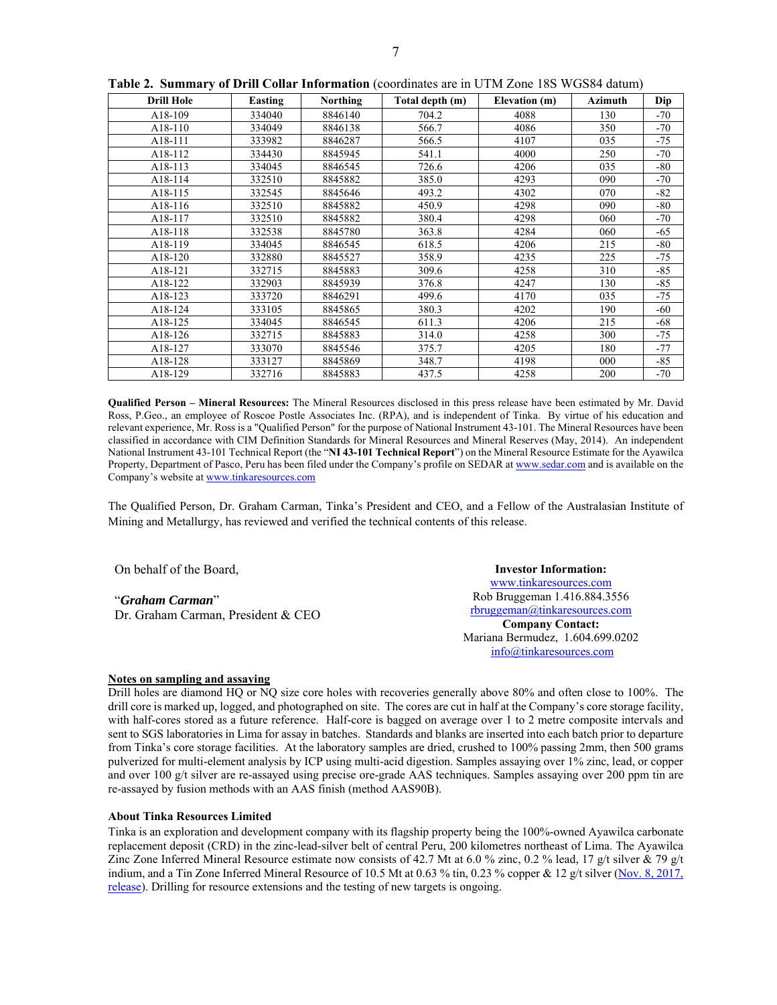| 전 사 |
|-----|
|     |
|     |

| <b>Drill Hole</b> | Easting | <b>Northing</b> | Total depth (m) | Elevation (m) | <b>Azimuth</b> | Dip   |
|-------------------|---------|-----------------|-----------------|---------------|----------------|-------|
| A18-109           | 334040  | 8846140         | 704.2           | 4088          | 130            | $-70$ |
| A18-110           | 334049  | 8846138         | 566.7           | 4086          | 350            | $-70$ |
| A18-111           | 333982  | 8846287         | 566.5           | 4107          | 035            | $-75$ |
| A18-112           | 334430  | 8845945         | 541.1           | 4000          | 250            | $-70$ |
| A18-113           | 334045  | 8846545         | 726.6           | 4206          | 035            | -80   |
| A18-114           | 332510  | 8845882         | 385.0           | 4293          | 090            | $-70$ |
| A18-115           | 332545  | 8845646         | 493.2           | 4302          | 070            | -82   |
| A18-116           | 332510  | 8845882         | 450.9           | 4298          | 090            | -80   |
| A18-117           | 332510  | 8845882         | 380.4           | 4298          | 060            | -70   |
| A18-118           | 332538  | 8845780         | 363.8           | 4284          | 060            | -65   |
| A18-119           | 334045  | 8846545         | 618.5           | 4206          | 215            | $-80$ |
| A18-120           | 332880  | 8845527         | 358.9           | 4235          | 225            | $-75$ |
| A18-121           | 332715  | 8845883         | 309.6           | 4258          | 310            | $-85$ |
| A18-122           | 332903  | 8845939         | 376.8           | 4247          | 130            | $-85$ |
| A18-123           | 333720  | 8846291         | 499.6           | 4170          | 035            | $-75$ |
| A18-124           | 333105  | 8845865         | 380.3           | 4202          | 190            | -60   |
| A18-125           | 334045  | 8846545         | 611.3           | 4206          | 215            | -68   |
| A18-126           | 332715  | 8845883         | 314.0           | 4258          | 300            | $-75$ |
| A18-127           | 333070  | 8845546         | 375.7           | 4205          | 180            | $-77$ |
| A18-128           | 333127  | 8845869         | 348.7           | 4198          | 000            | $-85$ |
| A18-129           | 332716  | 8845883         | 437.5           | 4258          | 200            | $-70$ |

**Table 2. Summary of Drill Collar Information** (coordinates are in UTM Zone 18S WGS84 datum)

**Qualified Person – Mineral Resources:** The Mineral Resources disclosed in this press release have been estimated by Mr. David Ross, P.Geo., an employee of Roscoe Postle Associates Inc. (RPA), and is independent of Tinka. By virtue of his education and relevant experience, Mr. Ross is a "Qualified Person" for the purpose of National Instrument 43-101. The Mineral Resources have been classified in accordance with CIM Definition Standards for Mineral Resources and Mineral Reserves (May, 2014). An independent National Instrument 43-101 Technical Report (the "**NI 43-101 Technical Report**") on the Mineral Resource Estimate for the Ayawilca Property, Department of Pasco, Peru has been filed under the Company's profile on SEDAR at www.sedar.com and is available on the Company's website at www.tinkaresources.com

The Qualified Person, Dr. Graham Carman, Tinka's President and CEO, and a Fellow of the Australasian Institute of Mining and Metallurgy, has reviewed and verified the technical contents of this release.

On behalf of the Board,

"*Graham Carman*" Dr. Graham Carman, President & CEO

**Investor Information:**  www.tinkaresources.com Rob Bruggeman 1.416.884.3556 rbruggeman@tinkaresources.com **Company Contact:** Mariana Bermudez, 1.604.699.0202 info@tinkaresources.com

#### **Notes on sampling and assaying**

Drill holes are diamond HQ or NQ size core holes with recoveries generally above 80% and often close to 100%. The drill core is marked up, logged, and photographed on site. The cores are cut in half at the Company's core storage facility, with half-cores stored as a future reference. Half-core is bagged on average over 1 to 2 metre composite intervals and sent to SGS laboratories in Lima for assay in batches. Standards and blanks are inserted into each batch prior to departure from Tinka's core storage facilities. At the laboratory samples are dried, crushed to 100% passing 2mm, then 500 grams pulverized for multi-element analysis by ICP using multi-acid digestion. Samples assaying over 1% zinc, lead, or copper and over 100 g/t silver are re-assayed using precise ore-grade AAS techniques. Samples assaying over 200 ppm tin are re-assayed by fusion methods with an AAS finish (method AAS90B).

#### **About Tinka Resources Limited**

Tinka is an exploration and development company with its flagship property being the 100%-owned Ayawilca carbonate replacement deposit (CRD) in the zinc-lead-silver belt of central Peru, 200 kilometres northeast of Lima. The Ayawilca Zinc Zone Inferred Mineral Resource estimate now consists of 42.7 Mt at 6.0 % zinc, 0.2 % lead, 17 g/t silver  $\&$  79 g/t indium, and a Tin Zone Inferred Mineral Resource of 10.5 Mt at 0.63 % tin, 0.23 % copper & 12 g/t silver (Nov. 8, 2017, release). Drilling for resource extensions and the testing of new targets is ongoing.